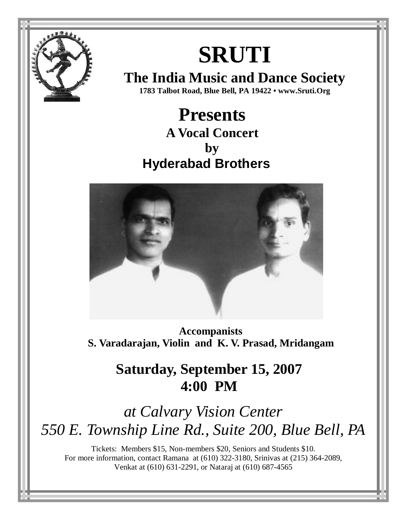

# **SRUTI**

**The India Music and Dance Society 1783 Talbot Road, Blue Bell, PA 19422 • www.Sruti.Org**

 **Presents A Vocal Concert by Hyderabad Brothers** 



**Accompanists S. Varadarajan, Violin and K. V. Prasad, Mridangam** 

### **Saturday, September 15, 2007 4:00 PM**

## *at Calvary Vision Center 550 E. Township Line Rd., Suite 200, Blue Bell, PA*

Tickets: Members \$15, Non-members \$20, Seniors and Students \$10. For more information, contact Ramana at (610) 322-3180, Srinivas at (215) 364-2089, Venkat at (610) 631-2291, or Nataraj at (610) 687-4565